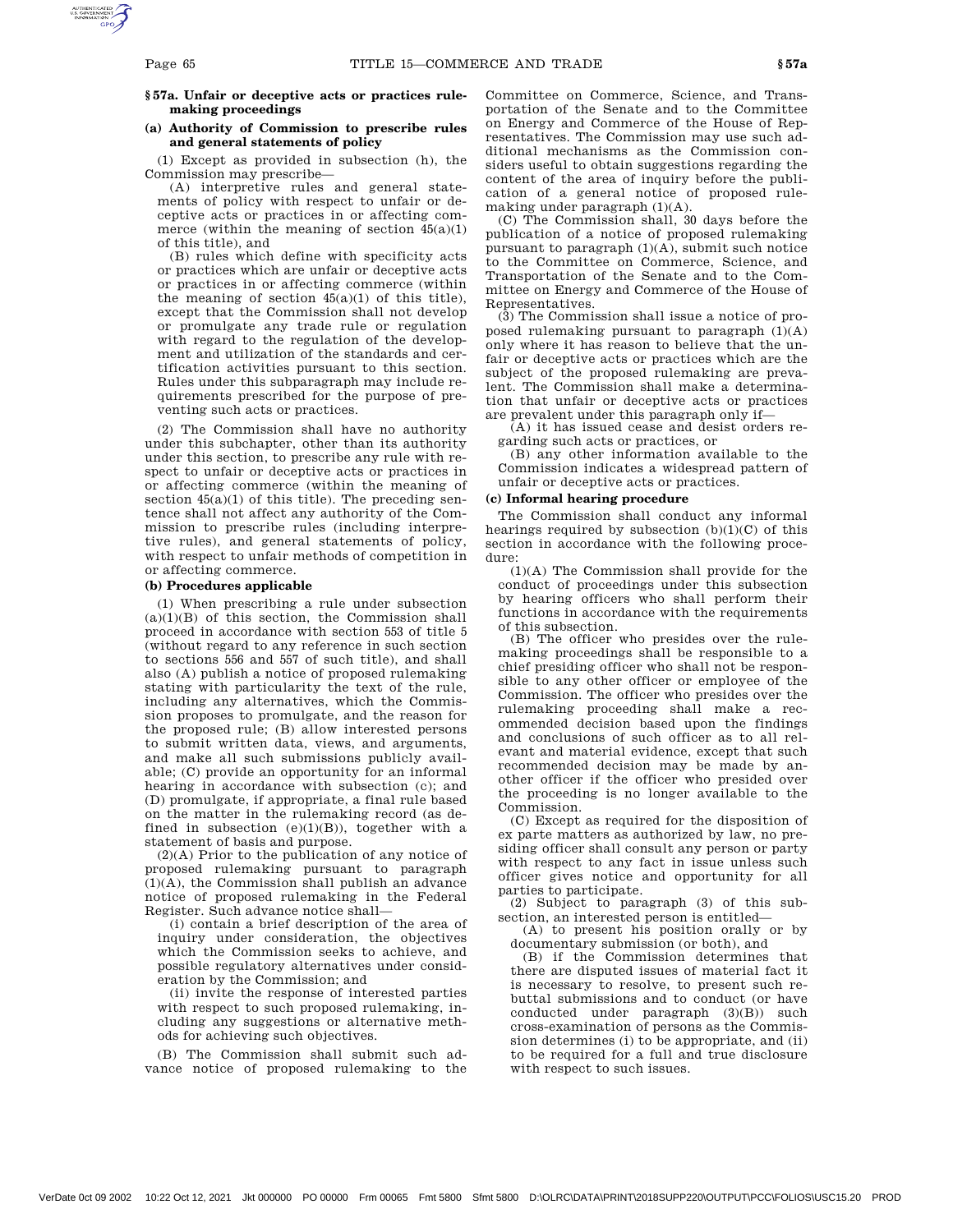# **§ 57a. Unfair or deceptive acts or practices rulemaking proceedings**

# **(a) Authority of Commission to prescribe rules and general statements of policy**

(1) Except as provided in subsection (h), the Commission may prescribe—

(A) interpretive rules and general statements of policy with respect to unfair or deceptive acts or practices in or affecting commerce (within the meaning of section  $45(a)(1)$ ) of this title), and

(B) rules which define with specificity acts or practices which are unfair or deceptive acts or practices in or affecting commerce (within the meaning of section  $45(a)(1)$  of this title), except that the Commission shall not develop or promulgate any trade rule or regulation with regard to the regulation of the development and utilization of the standards and certification activities pursuant to this section. Rules under this subparagraph may include requirements prescribed for the purpose of preventing such acts or practices.

(2) The Commission shall have no authority under this subchapter, other than its authority under this section, to prescribe any rule with respect to unfair or deceptive acts or practices in or affecting commerce (within the meaning of section  $45(a)(1)$  of this title). The preceding sentence shall not affect any authority of the Commission to prescribe rules (including interpretive rules), and general statements of policy, with respect to unfair methods of competition in or affecting commerce.

## **(b) Procedures applicable**

(1) When prescribing a rule under subsection  $(a)(1)(B)$  of this section, the Commission shall proceed in accordance with section 553 of title 5 (without regard to any reference in such section to sections 556 and 557 of such title), and shall also (A) publish a notice of proposed rulemaking stating with particularity the text of the rule, including any alternatives, which the Commission proposes to promulgate, and the reason for the proposed rule; (B) allow interested persons to submit written data, views, and arguments, and make all such submissions publicly available; (C) provide an opportunity for an informal hearing in accordance with subsection (c); and (D) promulgate, if appropriate, a final rule based on the matter in the rulemaking record (as defined in subsection  $(e)(1)(B)$ , together with a statement of basis and purpose.

(2)(A) Prior to the publication of any notice of proposed rulemaking pursuant to paragraph (1)(A), the Commission shall publish an advance notice of proposed rulemaking in the Federal Register. Such advance notice shall—

(i) contain a brief description of the area of inquiry under consideration, the objectives which the Commission seeks to achieve, and possible regulatory alternatives under consideration by the Commission; and

(ii) invite the response of interested parties with respect to such proposed rulemaking, including any suggestions or alternative methods for achieving such objectives.

(B) The Commission shall submit such advance notice of proposed rulemaking to the Committee on Commerce, Science, and Transportation of the Senate and to the Committee on Energy and Commerce of the House of Representatives. The Commission may use such additional mechanisms as the Commission considers useful to obtain suggestions regarding the content of the area of inquiry before the publication of a general notice of proposed rulemaking under paragraph (1)(A).

(C) The Commission shall, 30 days before the publication of a notice of proposed rulemaking pursuant to paragraph (1)(A), submit such notice to the Committee on Commerce, Science, and Transportation of the Senate and to the Committee on Energy and Commerce of the House of **Representatives** 

(3) The Commission shall issue a notice of proposed rulemaking pursuant to paragraph (1)(A) only where it has reason to believe that the unfair or deceptive acts or practices which are the subject of the proposed rulemaking are prevalent. The Commission shall make a determination that unfair or deceptive acts or practices are prevalent under this paragraph only if—

(A) it has issued cease and desist orders regarding such acts or practices, or

(B) any other information available to the Commission indicates a widespread pattern of unfair or deceptive acts or practices.

# **(c) Informal hearing procedure**

The Commission shall conduct any informal hearings required by subsection  $(b)(1)(C)$  of this section in accordance with the following procedure:

(1)(A) The Commission shall provide for the conduct of proceedings under this subsection by hearing officers who shall perform their functions in accordance with the requirements of this subsection.

(B) The officer who presides over the rulemaking proceedings shall be responsible to a chief presiding officer who shall not be responsible to any other officer or employee of the Commission. The officer who presides over the rulemaking proceeding shall make a recommended decision based upon the findings and conclusions of such officer as to all relevant and material evidence, except that such recommended decision may be made by another officer if the officer who presided over the proceeding is no longer available to the Commission.

(C) Except as required for the disposition of ex parte matters as authorized by law, no presiding officer shall consult any person or party with respect to any fact in issue unless such officer gives notice and opportunity for all parties to participate.

(2) Subject to paragraph (3) of this subsection, an interested person is entitled—

(A) to present his position orally or by documentary submission (or both), and

(B) if the Commission determines that there are disputed issues of material fact it is necessary to resolve, to present such rebuttal submissions and to conduct (or have conducted under paragraph (3)(B)) such cross-examination of persons as the Commission determines (i) to be appropriate, and (ii) to be required for a full and true disclosure with respect to such issues.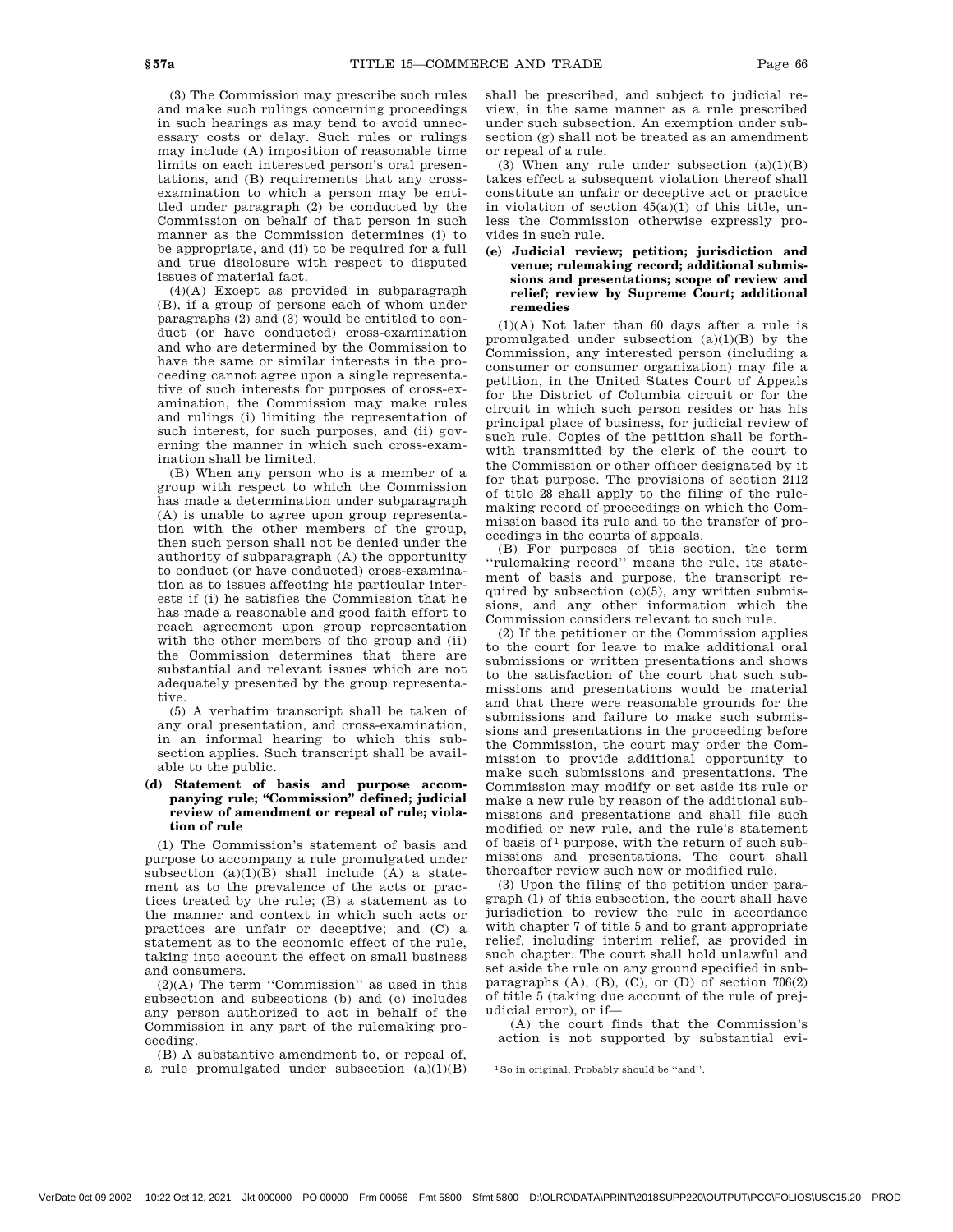(3) The Commission may prescribe such rules and make such rulings concerning proceedings in such hearings as may tend to avoid unnecessary costs or delay. Such rules or rulings may include (A) imposition of reasonable time limits on each interested person's oral presentations, and (B) requirements that any crossexamination to which a person may be entitled under paragraph (2) be conducted by the Commission on behalf of that person in such manner as the Commission determines (i) to be appropriate, and (ii) to be required for a full and true disclosure with respect to disputed issues of material fact.

(4)(A) Except as provided in subparagraph (B), if a group of persons each of whom under paragraphs (2) and (3) would be entitled to conduct (or have conducted) cross-examination and who are determined by the Commission to have the same or similar interests in the proceeding cannot agree upon a single representative of such interests for purposes of cross-examination, the Commission may make rules and rulings (i) limiting the representation of such interest, for such purposes, and (ii) governing the manner in which such cross-examination shall be limited.

(B) When any person who is a member of a group with respect to which the Commission has made a determination under subparagraph (A) is unable to agree upon group representation with the other members of the group, then such person shall not be denied under the authority of subparagraph (A) the opportunity to conduct (or have conducted) cross-examination as to issues affecting his particular interests if (i) he satisfies the Commission that he has made a reasonable and good faith effort to reach agreement upon group representation with the other members of the group and (ii) the Commission determines that there are substantial and relevant issues which are not adequately presented by the group representative.

(5) A verbatim transcript shall be taken of any oral presentation, and cross-examination, in an informal hearing to which this subsection applies. Such transcript shall be available to the public.

# **(d) Statement of basis and purpose accom**panying rule; "Commission" defined; judicial **review of amendment or repeal of rule; violation of rule**

(1) The Commission's statement of basis and purpose to accompany a rule promulgated under subsection  $(a)(1)(B)$  shall include  $(A)$  a statement as to the prevalence of the acts or practices treated by the rule; (B) a statement as to the manner and context in which such acts or practices are unfair or deceptive; and (C) a statement as to the economic effect of the rule, taking into account the effect on small business and consumers.

(2)(A) The term ''Commission'' as used in this subsection and subsections (b) and (c) includes any person authorized to act in behalf of the Commission in any part of the rulemaking proceeding.

(B) A substantive amendment to, or repeal of, a rule promulgated under subsection  $(a)(1)(B)$  shall be prescribed, and subject to judicial review, in the same manner as a rule prescribed under such subsection. An exemption under subsection (g) shall not be treated as an amendment or repeal of a rule.

(3) When any rule under subsection  $(a)(1)(B)$ takes effect a subsequent violation thereof shall constitute an unfair or deceptive act or practice in violation of section  $45(a)(1)$  of this title, unless the Commission otherwise expressly provides in such rule.

# **(e) Judicial review; petition; jurisdiction and venue; rulemaking record; additional submissions and presentations; scope of review and relief; review by Supreme Court; additional remedies**

(1)(A) Not later than 60 days after a rule is promulgated under subsection  $(a)(1)(B)$  by the Commission, any interested person (including a consumer or consumer organization) may file a petition, in the United States Court of Appeals for the District of Columbia circuit or for the circuit in which such person resides or has his principal place of business, for judicial review of such rule. Copies of the petition shall be forthwith transmitted by the clerk of the court to the Commission or other officer designated by it for that purpose. The provisions of section 2112 of title 28 shall apply to the filing of the rulemaking record of proceedings on which the Commission based its rule and to the transfer of proceedings in the courts of appeals.

(B) For purposes of this section, the term ''rulemaking record'' means the rule, its statement of basis and purpose, the transcript required by subsection  $(c)(5)$ , any written submissions, and any other information which the Commission considers relevant to such rule.

(2) If the petitioner or the Commission applies to the court for leave to make additional oral submissions or written presentations and shows to the satisfaction of the court that such submissions and presentations would be material and that there were reasonable grounds for the submissions and failure to make such submissions and presentations in the proceeding before the Commission, the court may order the Commission to provide additional opportunity to make such submissions and presentations. The Commission may modify or set aside its rule or make a new rule by reason of the additional submissions and presentations and shall file such modified or new rule, and the rule's statement of basis of  $1$  purpose, with the return of such submissions and presentations. The court shall thereafter review such new or modified rule.

(3) Upon the filing of the petition under paragraph (1) of this subsection, the court shall have jurisdiction to review the rule in accordance with chapter 7 of title 5 and to grant appropriate relief, including interim relief, as provided in such chapter. The court shall hold unlawful and set aside the rule on any ground specified in subparagraphs  $(A)$ ,  $(B)$ ,  $(C)$ ,  $or$   $(D)$  of section 706 $(2)$ of title 5 (taking due account of the rule of prejudicial error), or if—

(A) the court finds that the Commission's action is not supported by substantial evi-

<sup>1</sup>So in original. Probably should be ''and''.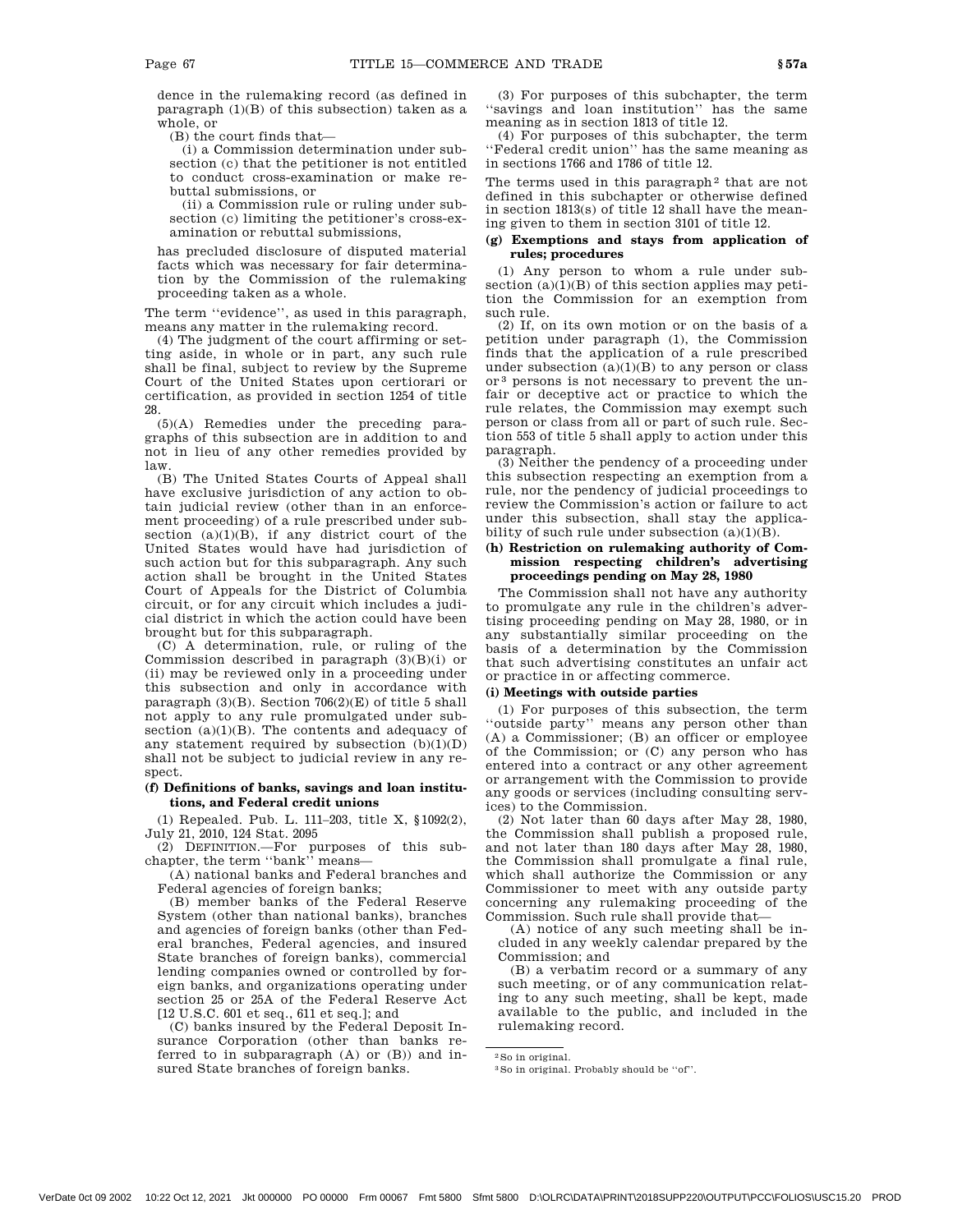dence in the rulemaking record (as defined in paragraph (1)(B) of this subsection) taken as a whole, or

(B) the court finds that—

(i) a Commission determination under subsection (c) that the petitioner is not entitled to conduct cross-examination or make rebuttal submissions, or

(ii) a Commission rule or ruling under subsection (c) limiting the petitioner's cross-examination or rebuttal submissions,

has precluded disclosure of disputed material facts which was necessary for fair determination by the Commission of the rulemaking proceeding taken as a whole.

The term ''evidence'', as used in this paragraph, means any matter in the rulemaking record.

(4) The judgment of the court affirming or setting aside, in whole or in part, any such rule shall be final, subject to review by the Supreme Court of the United States upon certiorari or certification, as provided in section 1254 of title 28.

(5)(A) Remedies under the preceding paragraphs of this subsection are in addition to and not in lieu of any other remedies provided by law.

(B) The United States Courts of Appeal shall have exclusive jurisdiction of any action to obtain judicial review (other than in an enforcement proceeding) of a rule prescribed under subsection  $(a)(1)(B)$ , if any district court of the United States would have had jurisdiction of such action but for this subparagraph. Any such action shall be brought in the United States Court of Appeals for the District of Columbia circuit, or for any circuit which includes a judicial district in which the action could have been brought but for this subparagraph.

(C) A determination, rule, or ruling of the Commission described in paragraph (3)(B)(i) or (ii) may be reviewed only in a proceeding under this subsection and only in accordance with paragraph (3)(B). Section 706(2)(E) of title 5 shall not apply to any rule promulgated under subsection  $(a)(1)(B)$ . The contents and adequacy of any statement required by subsection  $(b)(1)(D)$ shall not be subject to judicial review in any respect.

# **(f) Definitions of banks, savings and loan institutions, and Federal credit unions**

(1) Repealed. Pub. L. 111–203, title X, §1092(2), July 21, 2010, 124 Stat. 2095

(2) DEFINITION.—For purposes of this subchapter, the term ''bank'' means—

(A) national banks and Federal branches and Federal agencies of foreign banks;

(B) member banks of the Federal Reserve System (other than national banks), branches and agencies of foreign banks (other than Federal branches, Federal agencies, and insured State branches of foreign banks), commercial lending companies owned or controlled by foreign banks, and organizations operating under section 25 or 25A of the Federal Reserve Act [12 U.S.C. 601 et seq., 611 et seq.]; and

(C) banks insured by the Federal Deposit Insurance Corporation (other than banks referred to in subparagraph  $(A)$  or  $(B)$  and insured State branches of foreign banks.

(3) For purposes of this subchapter, the term ''savings and loan institution'' has the same meaning as in section 1813 of title 12.

(4) For purposes of this subchapter, the term ''Federal credit union'' has the same meaning as in sections 1766 and 1786 of title 12.

The terms used in this paragraph<sup>2</sup> that are not defined in this subchapter or otherwise defined in section 1813(s) of title 12 shall have the meaning given to them in section 3101 of title 12.

# **(g) Exemptions and stays from application of rules; procedures**

(1) Any person to whom a rule under subsection  $(a)(1)(B)$  of this section applies may petition the Commission for an exemption from such rule.

(2) If, on its own motion or on the basis of a petition under paragraph (1), the Commission finds that the application of a rule prescribed under subsection  $(a)(1)(B)$  to any person or class or 3 persons is not necessary to prevent the unfair or deceptive act or practice to which the rule relates, the Commission may exempt such person or class from all or part of such rule. Section 553 of title 5 shall apply to action under this paragraph.

(3) Neither the pendency of a proceeding under this subsection respecting an exemption from a rule, nor the pendency of judicial proceedings to review the Commission's action or failure to act under this subsection, shall stay the applicability of such rule under subsection  $(a)(1)(B)$ .

## **(h) Restriction on rulemaking authority of Commission respecting children's advertising proceedings pending on May 28, 1980**

The Commission shall not have any authority to promulgate any rule in the children's advertising proceeding pending on May 28, 1980, or in any substantially similar proceeding on the basis of a determination by the Commission that such advertising constitutes an unfair act or practice in or affecting commerce.

# **(i) Meetings with outside parties**

(1) For purposes of this subsection, the term "outside party" means any person other than (A) a Commissioner; (B) an officer or employee of the Commission; or (C) any person who has entered into a contract or any other agreement or arrangement with the Commission to provide any goods or services (including consulting services) to the Commission.

(2) Not later than 60 days after May 28, 1980, the Commission shall publish a proposed rule, and not later than 180 days after May 28, 1980, the Commission shall promulgate a final rule, which shall authorize the Commission or any Commissioner to meet with any outside party concerning any rulemaking proceeding of the Commission. Such rule shall provide that—

(A) notice of any such meeting shall be included in any weekly calendar prepared by the Commission; and

(B) a verbatim record or a summary of any such meeting, or of any communication relating to any such meeting, shall be kept, made available to the public, and included in the rulemaking record.

2So in original.

3So in original. Probably should be ''of''.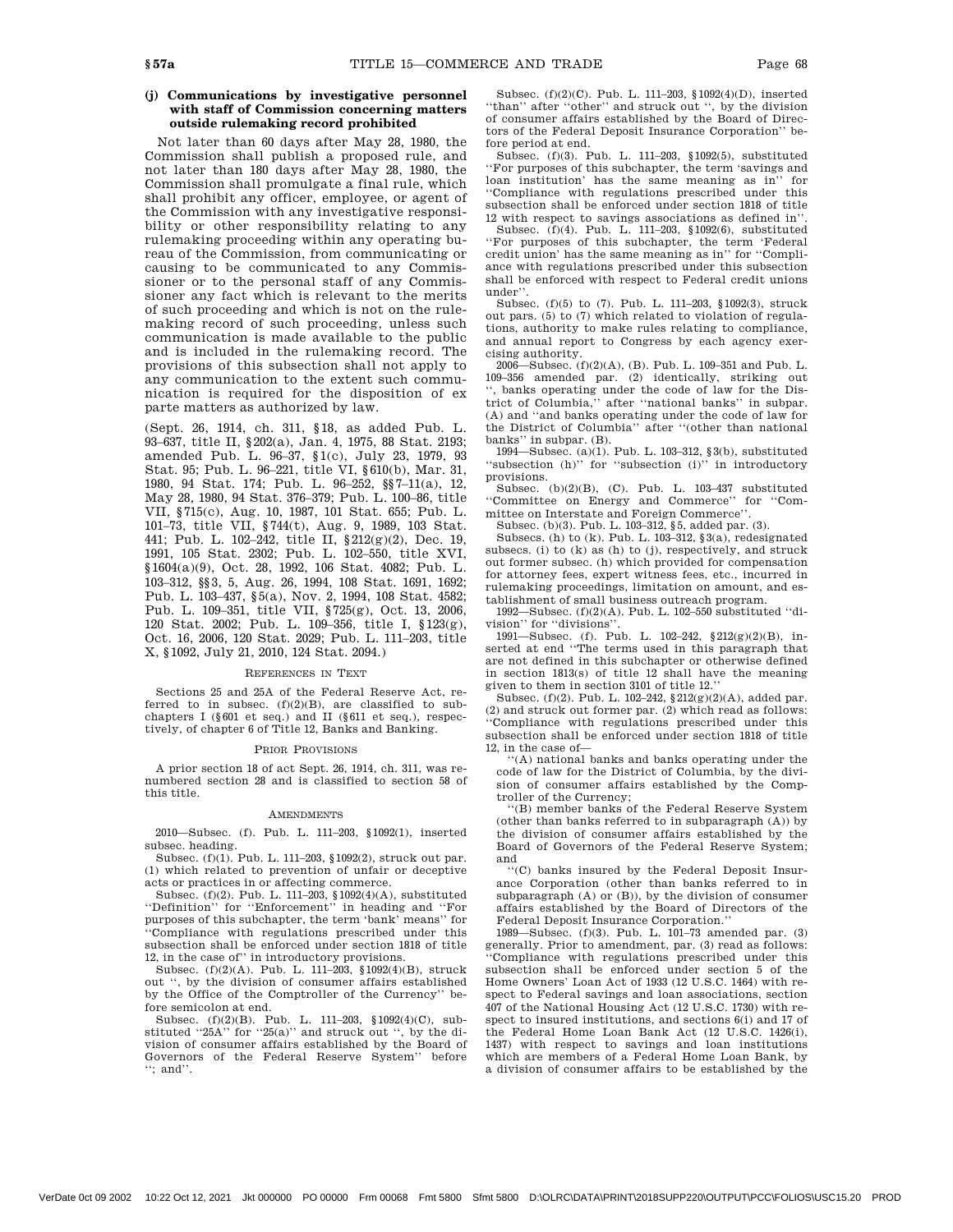# **(j) Communications by investigative personnel with staff of Commission concerning matters outside rulemaking record prohibited**

Not later than 60 days after May 28, 1980, the Commission shall publish a proposed rule, and not later than 180 days after May 28, 1980, the Commission shall promulgate a final rule, which shall prohibit any officer, employee, or agent of the Commission with any investigative responsibility or other responsibility relating to any rulemaking proceeding within any operating bureau of the Commission, from communicating or causing to be communicated to any Commissioner or to the personal staff of any Commissioner any fact which is relevant to the merits of such proceeding and which is not on the rulemaking record of such proceeding, unless such communication is made available to the public and is included in the rulemaking record. The provisions of this subsection shall not apply to any communication to the extent such communication is required for the disposition of ex parte matters as authorized by law.

(Sept. 26, 1914, ch. 311, §18, as added Pub. L. 93–637, title II, §202(a), Jan. 4, 1975, 88 Stat. 2193; amended Pub. L. 96–37, §1(c), July 23, 1979, 93 Stat. 95; Pub. L. 96–221, title VI, §610(b), Mar. 31, 1980, 94 Stat. 174; Pub. L. 96–252, §§7–11(a), 12, May 28, 1980, 94 Stat. 376–379; Pub. L. 100–86, title VII, §715(c), Aug. 10, 1987, 101 Stat. 655; Pub. L. 101–73, title VII, §744(t), Aug. 9, 1989, 103 Stat. 441; Pub. L. 102–242, title II, §212(g)(2), Dec. 19, 1991, 105 Stat. 2302; Pub. L. 102–550, title XVI, §1604(a)(9), Oct. 28, 1992, 106 Stat. 4082; Pub. L. 103–312, §§3, 5, Aug. 26, 1994, 108 Stat. 1691, 1692; Pub. L. 103–437, §5(a), Nov. 2, 1994, 108 Stat. 4582; Pub. L. 109–351, title VII, §725(g), Oct. 13, 2006, 120 Stat. 2002; Pub. L. 109–356, title I, §123(g), Oct. 16, 2006, 120 Stat. 2029; Pub. L. 111–203, title X, §1092, July 21, 2010, 124 Stat. 2094.)

#### REFERENCES IN TEXT

Sections 25 and 25A of the Federal Reserve Act, referred to in subsec.  $(f)(2)(B)$ , are classified to subchapters I (§601 et seq.) and II (§611 et seq.), respectively, of chapter 6 of Title 12, Banks and Banking.

#### PRIOR PROVISIONS

A prior section 18 of act Sept. 26, 1914, ch. 311, was renumbered section 28 and is classified to section 58 of this title.

#### **AMENDMENTS**

2010—Subsec. (f). Pub. L. 111–203, §1092(1), inserted subsec. heading.

Subsec. (f)(1). Pub. L. 111–203, §1092(2), struck out par. (1) which related to prevention of unfair or deceptive acts or practices in or affecting commerce.

Subsec. (f)(2). Pub. L. 111–203, §1092(4)(A), substituted ''Definition'' for ''Enforcement'' in heading and ''For purposes of this subchapter, the term 'bank' means'' for ''Compliance with regulations prescribed under this subsection shall be enforced under section 1818 of title 12, in the case of'' in introductory provisions.

Subsec. (f)(2)(A). Pub. L. 111–203, §1092(4)(B), struck out '', by the division of consumer affairs established by the Office of the Comptroller of the Currency'' before semicolon at end.

Subsec. (f)(2)(B). Pub. L. 111–203, §1092(4)(C), substituted ''25A'' for ''25(a)'' and struck out '', by the division of consumer affairs established by the Board of Governors of the Federal Reserve System'' before ''; and''.

Subsec. (f)(2)(C). Pub. L. 111–203, §1092(4)(D), inserted ''than'' after ''other'' and struck out '', by the division of consumer affairs established by the Board of Directors of the Federal Deposit Insurance Corporation'' before period at end.

Subsec. (f)(3). Pub. L. 111–203, §1092(5), substituted ''For purposes of this subchapter, the term 'savings and loan institution' has the same meaning as in'' for ''Compliance with regulations prescribed under this subsection shall be enforced under section 1818 of title 12 with respect to savings associations as defined in''.

Subsec. (f)(4). Pub. L. 111–203, §1092(6), substituted ''For purposes of this subchapter, the term 'Federal credit union' has the same meaning as in'' for ''Compliance with regulations prescribed under this subsection shall be enforced with respect to Federal credit unions under''.

Subsec. (f)(5) to (7). Pub. L. 111–203, §1092(3), struck out pars. (5) to (7) which related to violation of regulations, authority to make rules relating to compliance, and annual report to Congress by each agency exercising authority.

2006—Subsec. (f)(2)(A), (B). Pub. L. 109–351 and Pub. L. 109–356 amended par. (2) identically, striking out '', banks operating under the code of law for the District of Columbia,'' after ''national banks'' in subpar. (A) and ''and banks operating under the code of law for the District of Columbia'' after ''(other than national

banks'' in subpar. (B). 1994—Subsec. (a)(1). Pub. L. 103–312, §3(b), substituted ''subsection (h)'' for ''subsection (i)'' in introductory provisions.

Subsec. (b)(2)(B), (C). Pub. L. 103–437 substituted ''Committee on Energy and Commerce'' for ''Committee on Interstate and Foreign Commerce''.

Subsec. (b)(3). Pub. L. 103–312, §5, added par. (3).

Subsecs. (h) to (k). Pub. L. 103–312, §3(a), redesignated subsecs. (i) to  $(k)$  as  $(h)$  to  $(j)$ , respectively, and struck out former subsec. (h) which provided for compensation for attorney fees, expert witness fees, etc., incurred in rulemaking proceedings, limitation on amount, and establishment of small business outreach program.

1992—Subsec. (f)(2)(A). Pub. L. 102–550 substituted ''division'' for "divisions"

1991—Subsec. (f). Pub. L. 102–242, §212(g)(2)(B), inserted at end ''The terms used in this paragraph that are not defined in this subchapter or otherwise defined in section 1813(s) of title 12 shall have the meaning given to them in section 3101 of title 12.''

Subsec. (f)(2). Pub. L. 102–242, §212(g)(2)(A), added par. (2) and struck out former par. (2) which read as follows: ''Compliance with regulations prescribed under this subsection shall be enforced under section 1818 of title 12, in the case of-

''(A) national banks and banks operating under the code of law for the District of Columbia, by the division of consumer affairs established by the Comptroller of the Currency;

'(B) member banks of the Federal Reserve System (other than banks referred to in subparagraph (A)) by the division of consumer affairs established by the Board of Governors of the Federal Reserve System; and

''(C) banks insured by the Federal Deposit Insurance Corporation (other than banks referred to in subparagraph  $(A)$  or  $(B)$ ), by the division of consumer affairs established by the Board of Directors of the Federal Deposit Insurance Corporation.''

1989—Subsec. (f)(3). Pub. L. 101–73 amended par. (3) generally. Prior to amendment, par. (3) read as follows: ''Compliance with regulations prescribed under this subsection shall be enforced under section 5 of the Home Owners' Loan Act of 1933 (12 U.S.C. 1464) with respect to Federal savings and loan associations, section 407 of the National Housing Act (12 U.S.C. 1730) with respect to insured institutions, and sections 6(i) and 17 of the Federal Home Loan Bank Act (12 U.S.C. 1426(i), 1437) with respect to savings and loan institutions which are members of a Federal Home Loan Bank, by a division of consumer affairs to be established by the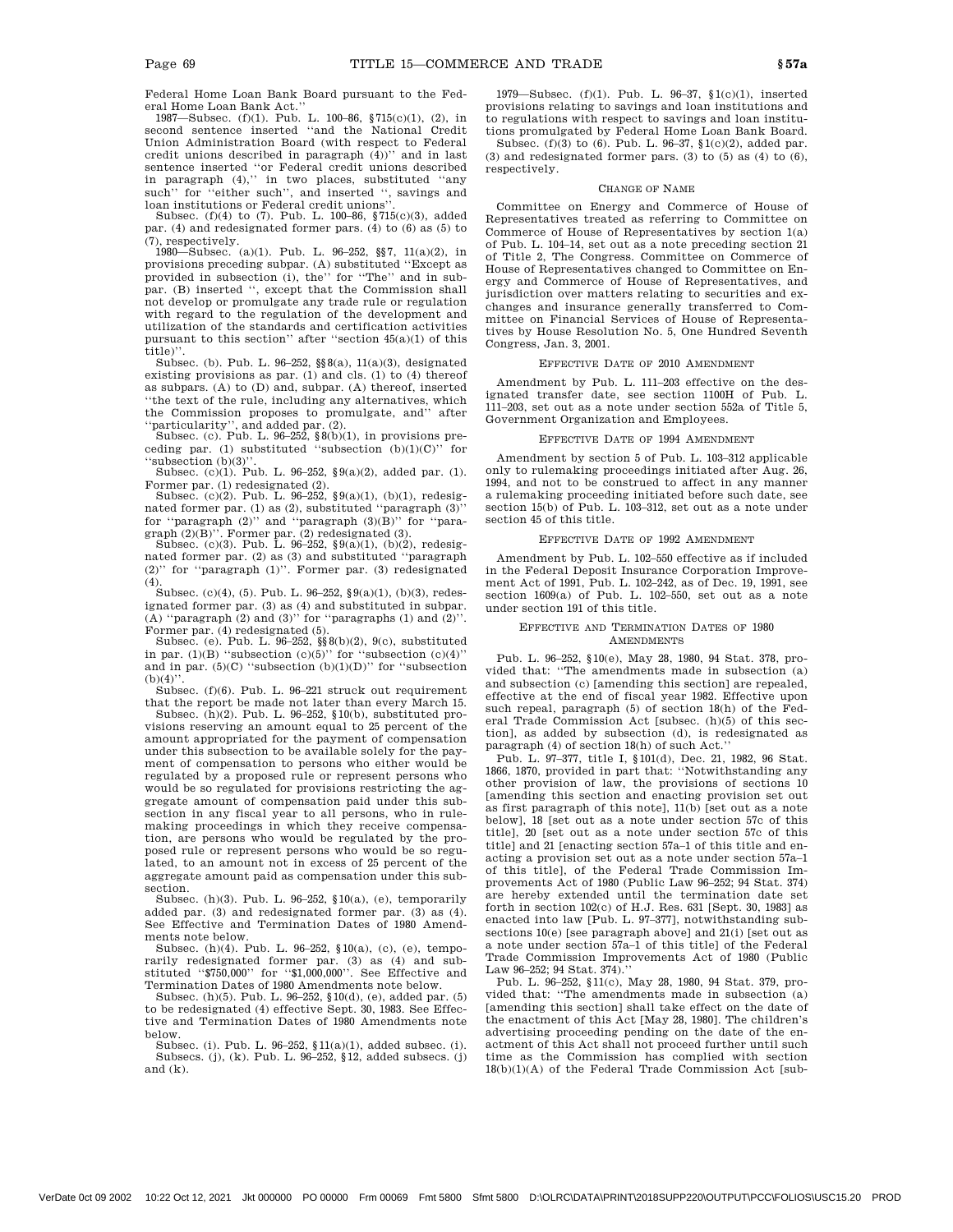Federal Home Loan Bank Board pursuant to the Federal Home Loan Bank Act.''

1987—Subsec. (f)(1). Pub. L. 100–86, §715(c)(1), (2), in second sentence inserted ''and the National Credit Union Administration Board (with respect to Federal credit unions described in paragraph (4))'' and in last sentence inserted ''or Federal credit unions described in paragraph (4),'' in two places, substituted ''any such" for "either such", and inserted ", savings and loan institutions or Federal credit unions''.

Subsec. (f)(4) to (7). Pub. L. 100–86, §715(c)(3), added par. (4) and redesignated former pars. (4) to (6) as (5) to (7), respectively. 1980—Subsec. (a)(1). Pub. L. 96–252, §§7, 11(a)(2), in

provisions preceding subpar. (A) substituted ''Except as provided in subsection (i), the'' for ''The'' and in subpar. (B) inserted '', except that the Commission shall not develop or promulgate any trade rule or regulation with regard to the regulation of the development and utilization of the standards and certification activities pursuant to this section'' after ''section 45(a)(1) of this title)''.

Subsec. (b). Pub. L. 96–252, §§8(a), 11(a)(3), designated existing provisions as par. (1) and cls. (1) to (4) thereof as subpars. (A) to (D) and, subpar. (A) thereof, inserted ''the text of the rule, including any alternatives, which the Commission proposes to promulgate, and'' after

''particularity'', and added par. (2). Subsec. (c). Pub. L. 96–252, §8(b)(1), in provisions preceding par. (1) substituted "subsection  $(b)(1)(C)$ " for 'subsection (b)(3)'

Subsec. (c)(1). Pub. L. 96-252,  $\S 9(a)(2)$ , added par. (1). Former par. (1) redesignated (2).

Subsec. (c)(2). Pub. L. 96–252,  $\S(2)(1)$ , (b)(1), redesignated former par. (1) as (2), substituted ''paragraph (3)'' for ''paragraph (2)'' and ''paragraph (3)(B)'' for ''para-

graph (2)(B)''. Former par. (2) redesignated (3). Subsec. (c)(3). Pub. L. 96–252, §9(a)(1), (b)(2), redesignated former par. (2) as (3) and substituted ''paragraph (2)'' for ''paragraph (1)''. Former par. (3) redesignated (4).

Subsec. (c)(4), (5). Pub. L. 96–252, §9(a)(1), (b)(3), redesignated former par. (3) as (4) and substituted in subpar.  $(A)$  "paragraph  $(2)$  and  $(3)$ " for "paragraphs  $(1)$  and  $(2)$ ".

Former par. (4) redesignated (5). Subsec. (e). Pub. L. 96–252, §§8(b)(2), 9(c), substituted in par.  $(1)(B)$  "subsection  $(c)(5)$ " for "subsection  $(c)(4)$ " and in par.  $(5)(C)$  "subsection  $(b)(1)(D)$ " for "subsection  $(b)(4)$ 

Subsec.  $(f)(6)$ . Pub. L. 96-221 struck out requirement that the report be made not later than every March 15.

Subsec.  $(h)(2)$ . Pub. L. 96-252, §10(b), substituted provisions reserving an amount equal to 25 percent of the amount appropriated for the payment of compensation under this subsection to be available solely for the payment of compensation to persons who either would be regulated by a proposed rule or represent persons who would be so regulated for provisions restricting the aggregate amount of compensation paid under this subsection in any fiscal year to all persons, who in rulemaking proceedings in which they receive compensation, are persons who would be regulated by the proposed rule or represent persons who would be so regulated, to an amount not in excess of 25 percent of the aggregate amount paid as compensation under this subsection.

Subsec. (h)(3). Pub. L. 96–252, §10(a), (e), temporarily added par. (3) and redesignated former par. (3) as (4). See Effective and Termination Dates of 1980 Amendments note below.

Subsec. (h)(4). Pub. L. 96–252, §10(a), (c), (e), temporarily redesignated former par. (3) as (4) and substituted ''\$750,000'' for ''\$1,000,000''. See Effective and Termination Dates of 1980 Amendments note below.

Subsec. (h)(5). Pub. L. 96–252, §10(d), (e), added par. (5) to be redesignated (4) effective Sept. 30, 1983. See Effective and Termination Dates of 1980 Amendments note below.

Subsec. (i). Pub. L. 96–252, §11(a)(1), added subsec. (i). Subsecs. (j), (k). Pub. L. 96–252, §12, added subsecs. (j) and  $(k)$ .

1979—Subsec. (f)(1). Pub. L. 96–37, §1(c)(1), inserted provisions relating to savings and loan institutions and to regulations with respect to savings and loan institutions promulgated by Federal Home Loan Bank Board.

Subsec. (f)(3) to (6). Pub. L. 96–37, §1(c)(2), added par.  $(3)$  and redesignated former pars.  $(3)$  to  $(5)$  as  $(4)$  to  $(6)$ , respectively.

## CHANGE OF NAME

Committee on Energy and Commerce of House of Representatives treated as referring to Committee on Commerce of House of Representatives by section 1(a) of Pub. L. 104–14, set out as a note preceding section 21 of Title 2, The Congress. Committee on Commerce of House of Representatives changed to Committee on Energy and Commerce of House of Representatives, and jurisdiction over matters relating to securities and exchanges and insurance generally transferred to Committee on Financial Services of House of Representatives by House Resolution No. 5, One Hundred Seventh Congress, Jan. 3, 2001.

#### EFFECTIVE DATE OF 2010 AMENDMENT

Amendment by Pub. L. 111–203 effective on the designated transfer date, see section 1100H of Pub. L. 111–203, set out as a note under section 552a of Title 5, Government Organization and Employees.

#### EFFECTIVE DATE OF 1994 AMENDMENT

Amendment by section 5 of Pub. L. 103–312 applicable only to rulemaking proceedings initiated after Aug. 26, 1994, and not to be construed to affect in any manner a rulemaking proceeding initiated before such date, see section 15(b) of Pub. L. 103–312, set out as a note under section 45 of this title.

### EFFECTIVE DATE OF 1992 AMENDMENT

Amendment by Pub. L. 102–550 effective as if included in the Federal Deposit Insurance Corporation Improvement Act of 1991, Pub. L. 102–242, as of Dec. 19, 1991, see section 1609(a) of Pub. L. 102–550, set out as a note under section 191 of this title.

#### EFFECTIVE AND TERMINATION DATES OF 1980 **AMENDMENTS**

Pub. L. 96–252, §10(e), May 28, 1980, 94 Stat. 378, provided that: ''The amendments made in subsection (a) and subsection (c) [amending this section] are repealed, effective at the end of fiscal year 1982. Effective upon such repeal, paragraph (5) of section 18(h) of the Federal Trade Commission Act [subsec. (h)(5) of this section], as added by subsection (d), is redesignated as paragraph (4) of section 18(h) of such Act.''

Pub. L. 97–377, title I, §101(d), Dec. 21, 1982, 96 Stat. 1866, 1870, provided in part that: ''Notwithstanding any other provision of law, the provisions of sections 10 [amending this section and enacting provision set out as first paragraph of this note], 11(b) [set out as a note below], 18 [set out as a note under section 57c of this title], 20 [set out as a note under section 57c of this title] and 21 [enacting section 57a–1 of this title and enacting a provision set out as a note under section 57a–1 of this title], of the Federal Trade Commission Improvements Act of 1980 (Public Law 96–252; 94 Stat. 374) are hereby extended until the termination date set forth in section 102(c) of H.J. Res. 631 [Sept. 30, 1983] as enacted into law [Pub. L. 97–377], notwithstanding subsections  $10(e)$  [see paragraph above] and  $21(i)$  [set out as a note under section 57a–1 of this title] of the Federal Trade Commission Improvements Act of 1980 (Public Law 96–252; 94 Stat. 374).''

Pub. L. 96–252, §11(c), May 28, 1980, 94 Stat. 379, provided that: ''The amendments made in subsection (a) [amending this section] shall take effect on the date of the enactment of this Act [May 28, 1980]. The children's advertising proceeding pending on the date of the enactment of this Act shall not proceed further until such time as the Commission has complied with section 18(b)(1)(A) of the Federal Trade Commission Act [sub